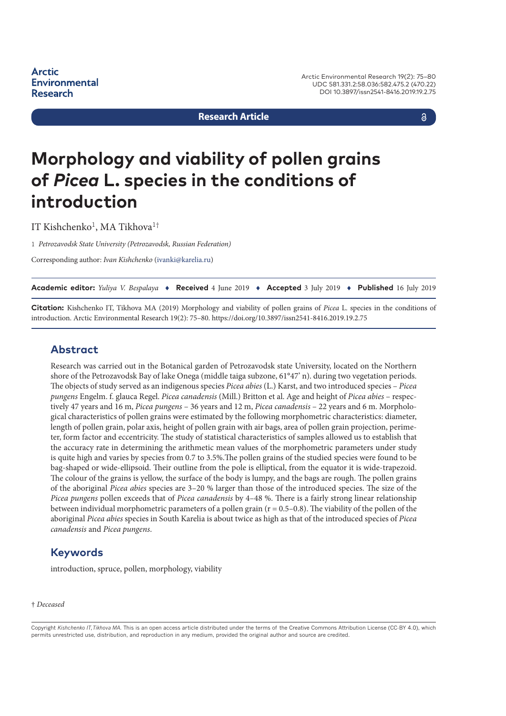**Research Article**

a

# **Morphology and viability of pollen grains of** *Picea* **L. species in the conditions of introduction**

IT Kishchenko<sup>1</sup>, MA Tikhova<sup>1†</sup>

1 *Petrozavodsk State University (Petrozavodsk, Russian Federation)*

Corresponding author: *Ivan Kishchenko* ([ivanki@karelia.ru](mailto:ivanki@karelia.ru))

**Academic editor:** *Yuliya V. Bespalaya* ♦ **Received** 4 June 2019 ♦ **Accepted** 3 July 2019 ♦ **Published** 16 July 2019

**Citation:** Kishchenko IT, Tikhova MA (2019) Morphology and viability of pollen grains of *Picea* L. species in the conditions of introduction. Arctic Environmental Research 19(2): 75–80.<https://doi.org/10.3897/issn2541-8416.2019.19.2.75>

#### **Abstract**

Research was carried out in the Botanical garden of Petrozavodsk state University, located on the Northern shore of the Petrozavodsk Bay of lake Onega (middle taiga subzone, 61°47' n). during two vegetation periods. The objects of study served as an indigenous species *Picea abies* (L.) Karst, and two introduced species – *Picea pungens* Engelm. f. glauca Regel. *Picea canadensis* (Mill.) Britton et al. Age and height of *Picea abies* – respectively 47 years and 16 m, *Picea pungens* – 36 years and 12 m, *Picea canadensis* – 22 years and 6 m. Morphological characteristics of pollen grains were estimated by the following morphometric characteristics: diameter, length of pollen grain, polar axis, height of pollen grain with air bags, area of pollen grain projection, perimeter, form factor and eccentricity. The study of statistical characteristics of samples allowed us to establish that the accuracy rate in determining the arithmetic mean values of the morphometric parameters under study is quite high and varies by species from 0.7 to 3.5%.The pollen grains of the studied species were found to be bag-shaped or wide-ellipsoid. Their outline from the pole is elliptical, from the equator it is wide-trapezoid. The colour of the grains is yellow, the surface of the body is lumpy, and the bags are rough. The pollen grains of the aboriginal *Picea abies* species are 3–20 % larger than those of the introduced species. The size of the *Picea pungens* pollen exceeds that of *Picea canadensis* by 4–48 %. There is a fairly strong linear relationship between individual morphometric parameters of a pollen grain  $(r = 0.5-0.8)$ . The viability of the pollen of the aboriginal *Picea abies* species in South Karelia is about twice as high as that of the introduced species of *Picea canadensis* and *Picea pungens*.

#### **Keywords**

introduction, spruce, pollen, morphology, viability

#### † *Deceased*

Copyright *Kishchenko IT,Tikhova MA.* This is an open access article distributed under the terms of the Creative Commons Attribution License (CC-BY 4.0), which permits unrestricted use, distribution, and reproduction in any medium, provided the original author and source are credited.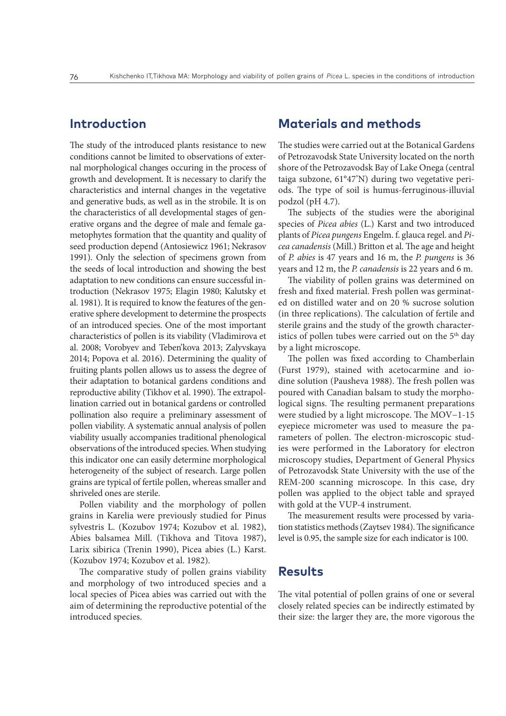# **Introduction**

The study of the introduced plants resistance to new conditions cannot be limited to observations of external morphological changes occuring in the process of growth and development. It is necessary to clarify the characteristics and internal changes in the vegetative and generative buds, as well as in the strobile. It is on the characteristics of all developmental stages of generative organs and the degree of male and female gametophytes formation that the quantity and quality of seed production depend (Antosiewicz 1961; Nekrasov 1991). Only the selection of specimens grown from the seeds of local introduction and showing the best adaptation to new conditions can ensure successful introduction (Nekrasov 1975; Elagin 1980; Kalutsky et al. 1981). It is required to know the features of the generative sphere development to determine the prospects of an introduced species. One of the most important characteristics of pollen is its viability (Vladimirova et al. 2008; Vorobyev and Teben'kova 2013; Zalyvskaya 2014; Popova et al. 2016). Determining the quality of fruiting plants pollen allows us to assess the degree of their adaptation to botanical gardens conditions and reproductive ability (Tikhov et al. 1990). The extrapollination carried out in botanical gardens or controlled pollination also require a preliminary assessment of pollen viability. A systematic annual analysis of pollen viability usually accompanies traditional phenological observations of the introduced species. When studying this indicator one can easily determine morphological heterogeneity of the subject of research. Large pollen grains are typical of fertile pollen, whereas smaller and shriveled ones are sterile.

Pollen viability and the morphology of pollen grains in Karelia were previously studied for Pinus sylvestris L. (Kozubov 1974; Kozubov et al. 1982), Abies balsamea Mill. (Tikhova and Titova 1987), Larix sibirica (Trenin 1990), Picea abies (L.) Karst. (Kozubov 1974; Kozubov et al. 1982).

The comparative study of pollen grains viability and morphology of two introduced species and a local species of Picea abies was carried out with the aim of determining the reproductive potential of the introduced species.

# **Materials and methods**

The studies were carried out at the Botanical Gardens of Petrozavodsk State University located on the north shore of the Petrozavodsk Bay of Lake Onega (central taiga subzone, 61°47'N) during two vegetative periods. The type of soil is humus-ferruginous-illuvial podzol (pH 4.7).

The subjects of the studies were the aboriginal species of *Picea abies* (L.) Karst and two introduced plants of *Picea pungens* Engelm. f. glauca regel. and *Picea canadensis* (Mill.) Britton et al. The age and height of *P. abies* is 47 years and 16 m, the *P. pungens* is 36 years and 12 m, the *P. canadensis* is 22 years and 6 m.

The viability of pollen grains was determined on fresh and fixed material. Fresh pollen was germinated on distilled water and on 20 % sucrose solution (in three replications). The calculation of fertile and sterile grains and the study of the growth characteristics of pollen tubes were carried out on the  $5<sup>th</sup>$  day by a light microscope.

The pollen was fixed according to Chamberlain (Furst 1979), stained with acetocarmine and iodine solution (Pausheva 1988). The fresh pollen was poured with Canadian balsam to study the morphological signs. The resulting permanent preparations were studied by a light microscope. The MOV−1-15 eyepiece micrometer was used to measure the parameters of pollen. The electron-microscopic studies were performed in the Laboratory for electron microscopy studies, Department of General Physics of Petrozavodsk State University with the use of the REM-200 scanning microscope. In this case, dry pollen was applied to the object table and sprayed with gold at the VUP-4 instrument.

The measurement results were processed by variation statistics methods (Zaytsev 1984). The significance level is 0.95, the sample size for each indicator is 100.

#### **Results**

The vital potential of pollen grains of one or several closely related species can be indirectly estimated by their size: the larger they are, the more vigorous the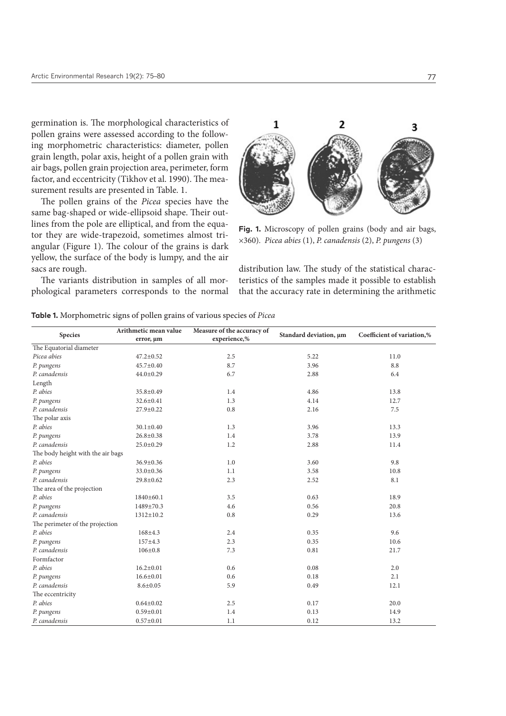germination is. The morphological characteristics of pollen grains were assessed according to the following morphometric characteristics: diameter, pollen grain length, polar axis, height of a pollen grain with air bags, pollen grain projection area, perimeter, form factor, and eccentricity (Tikhov et al. 1990). The measurement results are presented in Table. 1.

The pollen grains of the *Picea* species have the same bag-shaped or wide-ellipsoid shape. Their outlines from the pole are elliptical, and from the equator they are wide-trapezoid, sometimes almost triangular (Figure 1). The colour of the grains is dark yellow, the surface of the body is lumpy, and the air sacs are rough.

The variants distribution in samples of all morphological parameters corresponds to the normal



**Fig. 1.** Microscopy of pollen grains (body and air bags, ×360). *Picea abies* (1), *P. canadensis* (2), *P. pungens* (3)

distribution law. The study of the statistical characteristics of the samples made it possible to establish that the accuracy rate in determining the arithmetic

|                                   | Arithmetic mean value | Measure of the accuracy of | Standard deviation, um | Coefficient of variation,% |  |
|-----------------------------------|-----------------------|----------------------------|------------------------|----------------------------|--|
| <b>Species</b>                    | error, um             | experience,%               |                        |                            |  |
| The Equatorial diameter           |                       |                            |                        |                            |  |
| Picea abies                       | $47.2 \pm 0.52$       | 2.5                        | 5.22                   |                            |  |
| P. pungens                        | 45.7±0.40             | 8.7                        | 3.96                   | 8.8                        |  |
| P. canadensis                     | $44.0 \pm 0.29$       | 6.7                        | 2.88                   | 6.4                        |  |
| Length                            |                       |                            |                        |                            |  |
| P. abies                          | 35.8±0.49             | 1.4                        | 4.86                   | 13.8                       |  |
| P. pungens                        | $32.6 \pm 0.41$       | 1.3                        | 4.14                   | 12.7                       |  |
| P. canadensis                     | 27.9±0.22             | 0.8                        | 2.16                   | 7.5                        |  |
| The polar axis                    |                       |                            |                        |                            |  |
| P. abies                          | $30.1 \pm 0.40$       | 1.3                        | 3.96                   | 13.3                       |  |
| P. pungens                        | $26.8 \pm 0.38$       | 1.4                        | 3.78                   | 13.9                       |  |
| P. canadensis                     | $25.0 \pm 0.29$       | 1.2                        | 2.88                   | 11.4                       |  |
| The body height with the air bags |                       |                            |                        |                            |  |
| P. abies                          | 36.9±0.36             | 1.0                        | 3.60                   | 9.8                        |  |
| P. pungens                        | 33.0±0.36             | 1.1                        | 3.58                   | 10.8                       |  |
| P. canadensis                     | 29.8±0.62             | 2.3                        | 2.52                   | 8.1                        |  |
| The area of the projection        |                       |                            |                        |                            |  |
| P. abies                          | 1840±60.1             | 3.5                        | 0.63                   | 18.9                       |  |
| P. pungens                        | 1489±70.3             | 4.6                        | 0.56                   | 20.8                       |  |
| P. canadensis                     | $1312 \pm 10.2$       | 0.8                        | 0.29                   | 13.6                       |  |
| The perimeter of the projection   |                       |                            |                        |                            |  |
| P. abies                          | $168 + 4.3$           | 2.4                        | 0.35                   | 9.6                        |  |
| P. pungens                        | 157±4.3               | 2.3                        | 0.35                   | 10.6                       |  |
| P. canadensis                     | $106 \pm 0.8$         | 7.3                        | 0.81                   | 21.7                       |  |
| Formfactor                        |                       |                            |                        |                            |  |
| P. abies                          | $16.2 \pm 0.01$       | 0.6                        | 0.08                   | 2.0                        |  |
| P. pungens                        | $16.6 \pm 0.01$       | 0.6                        | 0.18                   | 2.1                        |  |
| P. canadensis                     | $8.6 \pm 0.05$        | 5.9                        | 0.49                   | 12.1                       |  |
| The eccentricity                  |                       |                            |                        |                            |  |
| P. abies                          | $0.64 \pm 0.02$       | 2.5                        | 0.17                   | 20.0                       |  |
| P. pungens                        | $0.59 \pm 0.01$       | 1.4                        | 0.13                   | 14.9                       |  |
| P. canadensis                     | $0.57 \pm 0.01$       | 1.1                        | 0.12                   | 13.2                       |  |

| <b>Table 1.</b> Morphometric signs of pollen grains of various species of <i>Picea</i> |  |  |  |
|----------------------------------------------------------------------------------------|--|--|--|
|                                                                                        |  |  |  |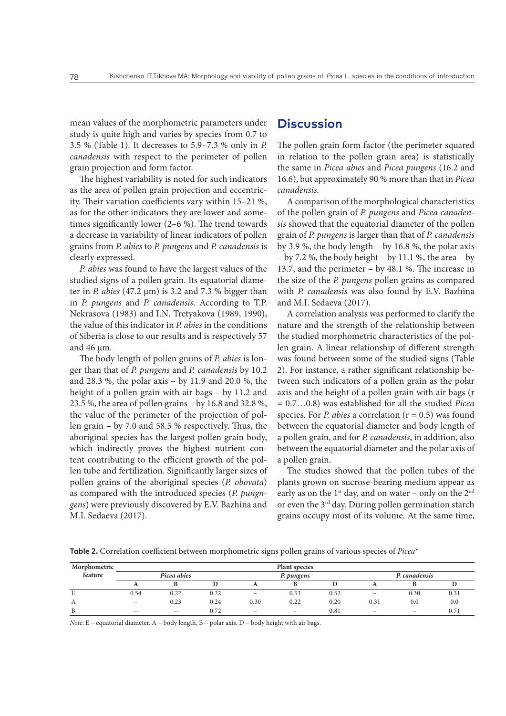mean values of the morphometric parameters under study is quite high and varies by species from 0.7 to 3.5 % (Table 1). It decreases to 5.9–7.3 % only in *P. canadensis* with respect to the perimeter of pollen grain projection and form factor.

The highest variability is noted for such indicators as the area of pollen grain projection and eccentricity. Their variation coefficients vary within 15–21 %, as for the other indicators they are lower and sometimes significantly lower (2–6 %). The trend towards a decrease in variability of linear indicators of pollen grains from *P. abies* to *P. pungens* and *P. canadensis* is clearly expressed.

*P. abies* was found to have the largest values of the studied signs of a pollen grain. Its equatorial diameter in *P. abies* (47.2 μm) is 3.2 and 7.3 % bigger than in *P. pungens* and *P. canadensis*. According to T.P. Nekrasova (1983) and I.N. Tretyakova (1989, 1990), the value of this indicator in *P. abies* in the conditions of Siberia is close to our results and is respectively 57 and 46 μm.

The body length of pollen grains of *P. abies* is longer than that of *P. pungens* and *P. canadensis* by 10.2 and 28.3 %, the polar axis – by 11.9 and 20.0 %, the height of a pollen grain with air bags – by 11.2 and 23.5 %, the area of pollen grains – by 16.8 and 32.8 %, the value of the perimeter of the projection of pollen grain – by 7.0 and 58.5 % respectively. Thus, the aboriginal species has the largest pollen grain body, which indirectly proves the highest nutrient content contributing to the efficient growth of the pollen tube and fertilization. Significantly larger sizes of pollen grains of the aboriginal species (*P. obovata*) as compared with the introduced species (*P. pungngens*) were previously discovered by Е.V. Bazhina and M.I. Sedaeva (2017).

#### **Discussion**

The pollen grain form factor (the perimeter squared in relation to the pollen grain area) is statistically the same in *Picea abies* and *Picea pungens* (16.2 and 16.6), but approximately 90 % more than that in *Picea canadensis*.

A comparison of the morphological characteristics of the pollen grain of *P. pungens* and *Picea canadensis* showed that the equatorial diameter of the pollen grain of *P. pungens* is larger than that of *P. canadensis* by 3.9 %, the body length – by 16.8 %, the polar axis – by 7.2 %, the body height – by 11.1 %, the area – by 13.7, and the perimeter – by 48.1 %. The increase in the size of the *P. pungens* pollen grains as compared with *P. canadensis* was also found by E.V. Bazhina and M.I. Sedaeva (2017).

A correlation analysis was performed to clarify the nature and the strength of the relationship between the studied morphometric characteristics of the pollen grain. A linear relationship of different strength was found between some of the studied signs (Table 2). For instance, a rather significant relationship between such indicators of a pollen grain as the polar axis and the height of a pollen grain with air bags (r = 0.7…0.8) was established for all the studied *Picea* species. For *P. abies* a correlation (r = 0.5) was found between the equatorial diameter and body length of a pollen grain, and for *P. canadensis*, in addition, also between the equatorial diameter and the polar axis of a pollen grain.

The studies showed that the pollen tubes of the plants grown on sucrose-bearing medium appear as early as on the  $1<sup>st</sup>$  day, and on water – only on the  $2<sup>nd</sup>$ or even the 3<sup>rd</sup> day. During pollen germination starch grains occupy most of its volume. At the same time,

**Table 2.** Correlation coefficient between morphometric signs pollen grains of various species of *Picea*\*

| Morphometric | <b>Plant species</b>     |                          |      |                                 |                          |      |                          |                 |      |
|--------------|--------------------------|--------------------------|------|---------------------------------|--------------------------|------|--------------------------|-----------------|------|
| feature      | Picea abies              |                          |      | P. pungens                      |                          |      | P. canadensis            |                 |      |
|              |                          |                          |      |                                 |                          |      |                          |                 |      |
| E            | 0.54                     | 0.22                     | 0.22 | $\qquad \qquad -$               | 0.53                     | 0.52 | $\overline{\phantom{0}}$ | 0.30            | 0.31 |
| А            |                          | 0.23                     | 0.24 | 0.30                            | 0.22                     | 0.20 | 0.31                     | 0.0             | 0.0  |
| B            | $\overline{\phantom{0}}$ | $\overline{\phantom{0}}$ | 0.72 | $\hspace{0.1mm}-\hspace{0.1mm}$ | $\overline{\phantom{0}}$ | 0.81 | $\overline{\phantom{a}}$ | $\qquad \qquad$ | 0.71 |

*Note*: E - equatorial diameter, A - body length, B - polar axis, D - body height with air bags.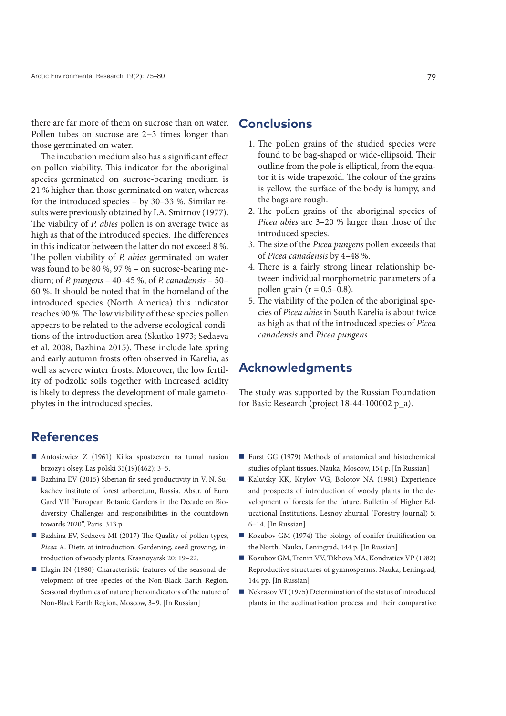there are far more of them on sucrose than on water. Pollen tubes on sucrose are 2−3 times longer than those germinated on water.

The incubation medium also has a significant effect on pollen viability. This indicator for the aboriginal species germinated on sucrose-bearing medium is 21 % higher than those germinated on water, whereas for the introduced species – by 30–33 %. Similar results were previously obtained by I.A. Smirnov (1977). The viability of *P. abies* pollen is on average twice as high as that of the introduced species. The differences in this indicator between the latter do not exceed 8 %. The pollen viability of *P. abies* germinated on water was found to be 80 %, 97 % – on sucrose-bearing medium; of *P. pungens* – 40–45 %, of *P. canadensis* – 50– 60 %. It should be noted that in the homeland of the introduced species (North America) this indicator reaches 90 %. The low viability of these species pollen appears to be related to the adverse ecological conditions of the introduction area (Skutko 1973; Sedaeva et al. 2008; Bazhina 2015). These include late spring and early autumn frosts often observed in Karelia, as well as severe winter frosts. Moreover, the low fertility of podzolic soils together with increased acidity is likely to depress the development of male gametophytes in the introduced species.

### **References**

- Antosiewicz Z (1961) Kilka spostzezen na tumal nasion brzozy i olsey. Las polski 35(19)(462): 3–5.
- Bazhina EV (2015) Siberian fir seed productivity in V. N. Sukachev institute of forest arboretum, Russia. Abstr. of Euro Gard VII "European Botanic Gardens in the Decade on Biodiversity Challenges and responsibilities in the countdown towards 2020", Paris, 313 p.
- Bazhina EV, Sedaeva MI (2017) The Quality of pollen types, *Picea* A. Dietr. at introduction. Gardening, seed growing, introduction of woody plants. Krasnoyarsk 20: 19–22.
- Elagin IN (1980) Characteristic features of the seasonal development of tree species of the Non-Black Earth Region. Seasonal rhythmics of nature phenoindicators of the nature of Non-Black Earth Region, Moscow, 3–9. [In Russian]

# **Conclusions**

- 1. The pollen grains of the studied species were found to be bag-shaped or wide-ellipsoid. Their outline from the pole is elliptical, from the equator it is wide trapezoid. The colour of the grains is yellow, the surface of the body is lumpy, and the bags are rough.
- 2. The pollen grains of the aboriginal species of *Picea abies* are 3–20 % larger than those of the introduced species.
- 3. The size of the *Picea pungens* pollen exceeds that of *Picea canadensis* by 4–48 %.
- 4. There is a fairly strong linear relationship between individual morphometric parameters of a pollen grain ( $r = 0.5 - 0.8$ ).
- 5. The viability of the pollen of the aboriginal species of *Picea abies* in South Karelia is about twice as high as that of the introduced species of *Picea canadensis* and *Picea pungens*

#### **Acknowledgments**

The study was supported by the Russian Foundation for Basic Research (project 18-44-100002 p\_a).

- Furst GG (1979) Methods of anatomical and histochemical studies of plant tissues. Nauka, Moscow, 154 p. [In Russian]
- Kalutsky KK, Krylov VG, Bolotov NA (1981) Experience and prospects of introduction of woody plants in the development of forests for the future. Bulletin of Higher Educational Institutions. Lesnoy zhurnal (Forestry Journal) 5: 6–14. [In Russian]
- Kozubov GM (1974) The biology of conifer fruitification on the North. Nauka, Leningrad, 144 p. [In Russian]
- Kozubov GM, Trenin VV, Tikhova MA, Kondratiev VP (1982) Reproductive structures of gymnosperms. Nauka, Leningrad, 144 рp. [In Russian]
- Nekrasov VI (1975) Determination of the status of introduced plants in the acclimatization process and their comparative